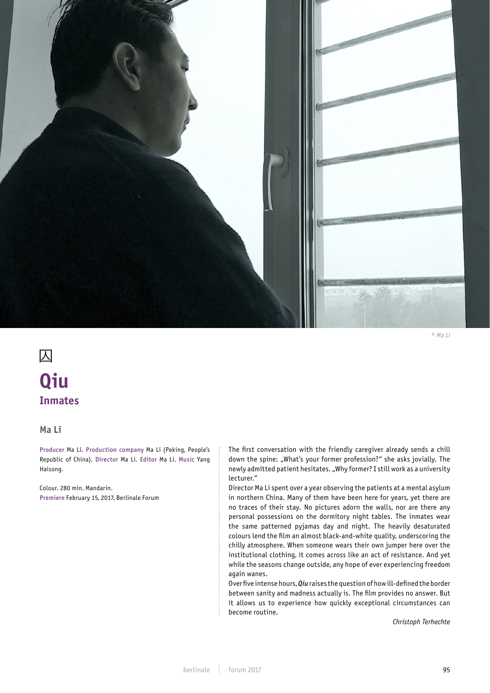

*© Ma Li*

# **Qiu** Qiu **Inmates** 囚

## **Ma Li** 최후의 증인

Producer Ma Li. Production company Ma Li (Peking, People's Republic of China). Director Ma Li. Editor Ma Li. Music Yang Haisong.

Colour. 280 min. Mandarin.<br>Promiere Eebruary 15, 2017 Premiere February 15, 2017, Berlinale Forum The first conversation with the friendly caregiver already sends a chill down the spine: "What's your former profession?" she asks jovially. The newly admitted patient hesitates. "Why former? I still work as a university lecturer."

Director Ma Li spent over a year observing the patients at a mental asylum in northern China. Many of them have been here for years, yet there are no traces of their stay. No pictures adorn the walls, nor are there any personal possessions on the dormitory night tables. The inmates wear the same patterned pyjamas day and night. The heavily desaturated colours lend the film an almost black-and-white quality, underscoring the chilly atmosphere. When someone wears their own jumper here over the institutional clothing, it comes across like an act of resistance. And yet while the seasons change outside, any hope of ever experiencing freedom again wanes.

Over five intense hours, *Qiu* raises the question of how ill-defined the border between sanity and madness actually is. The film provides no answer. But it allows us to experience how quickly exceptional circumstances can become routine.

*Christoph Terhechte*